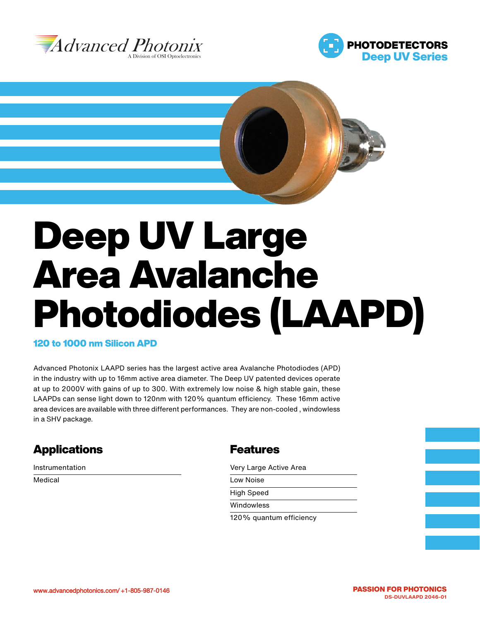





# Deep UV Large Area Avalanche Photodiodes (LAAPD)

#### 120 to 1000 nm Silicon APD

Advanced Photonix LAAPD series has the largest active area Avalanche Photodiodes (APD) in the industry with up to 16mm active area diameter. The Deep UV patented devices operate at up to 2000V with gains of up to 300. With extremely low noise & high stable gain, these LAAPDs can sense light down to 120nm with 120% quantum efficiency. These 16mm active area devices are available with three different performances. They are non-cooled , windowless in a SHV package.

# **Applications**

Instrumentation

Medical

## **Features**

Very Large Active Area

| Low Noise         |  |
|-------------------|--|
| <b>High Speed</b> |  |
| Windowless        |  |
|                   |  |

120% quantum efficiency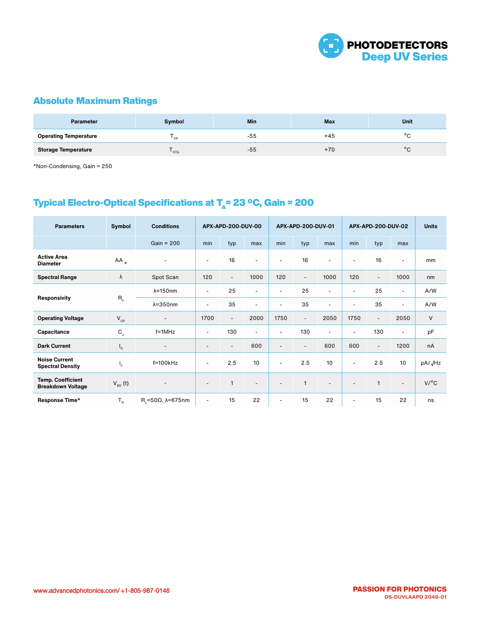

## Absolute Maximum Ratings

| <b>Parameter</b>             | Symbol | Min | Max   | <b>Unit</b> |
|------------------------------|--------|-----|-------|-------------|
| <b>Operating Temperature</b> | ' OP   | -55 | $+45$ | $\circ$     |
| <b>Storage Temperature</b>   | ' STG  | -55 | $+70$ | $\circ$     |

\*Non-Condensing, Gain = 250

## Typical Electro-Optical Specifications at  $T_a$ = 23 °C, Gain = 200

| <b>Parameters</b>                                    | Symbol        | <b>Conditions</b>                     | APX-APD-200-DUV-00       |                          | APX-APD-200-DUV-01       |                          |                          | APX-APD-200-DUV-02       |                          |                          | <b>Units</b>             |                     |
|------------------------------------------------------|---------------|---------------------------------------|--------------------------|--------------------------|--------------------------|--------------------------|--------------------------|--------------------------|--------------------------|--------------------------|--------------------------|---------------------|
|                                                      |               | $Gain = 200$                          | min                      | typ                      | max                      | min                      | typ                      | max                      | min                      | typ                      | max                      |                     |
| <b>Active Area</b><br><b>Diameter</b>                | $AA_{\phi}$   | $\overline{\phantom{0}}$              | $\blacksquare$           | 16                       | $\overline{\phantom{a}}$ | $\overline{\phantom{a}}$ | 16                       | $\overline{\phantom{a}}$ | ٠                        | 16                       | $\sim$                   | mm                  |
| <b>Spectral Range</b>                                | $\lambda$     | Spot Scan                             | 120                      | $\overline{\phantom{a}}$ | 1000                     | 120                      | $\blacksquare$           | 1000                     | 120                      | $\sim$                   | 1000                     | nm                  |
| <b>Responsivity</b>                                  | $R_{\lambda}$ | $\lambda = 150$ nm                    | $\overline{\phantom{a}}$ | 25                       | $\overline{\phantom{a}}$ | $\blacksquare$           | 25                       | $\overline{\phantom{a}}$ | $\overline{\phantom{a}}$ | 25                       | $\sim$                   | A/W                 |
|                                                      |               | $\lambda = 350$ nm                    | $\overline{\phantom{a}}$ | 35                       | $\overline{\phantom{a}}$ | $\overline{\phantom{a}}$ | 35                       | ٠                        | ٠                        | 35                       |                          | A/W                 |
| <b>Operating Voltage</b>                             | $V_{op}$      | $\overline{\phantom{a}}$              | 1700                     | $\overline{\phantom{a}}$ | 2000                     | 1750                     | $\blacksquare$           | 2050                     | 1750                     | $\overline{\phantom{a}}$ | 2050                     | $\vee$              |
| Capacitance                                          | $C_{j}$       | $f = 1$ MHz                           | $\blacksquare$           | 130                      | $\overline{\phantom{a}}$ | $\overline{\phantom{a}}$ | 130                      | ٠                        | ۰                        | 130                      | $\overline{\phantom{a}}$ | pF                  |
| <b>Dark Current</b>                                  | 'D            | $\overline{\phantom{a}}$              | $\overline{\phantom{a}}$ | $\overline{\phantom{a}}$ | 600                      | $\overline{\phantom{a}}$ | $\overline{\phantom{a}}$ | 600                      | 600                      | $\overline{\phantom{a}}$ | 1200                     | nA                  |
| <b>Noise Current</b><br><b>Spectral Density</b>      | ъ.            | $f=100kHz$                            | $\overline{\phantom{a}}$ | 2.5                      | 10                       | $\overline{\phantom{a}}$ | 2.5                      | 10                       | $\overline{\phantom{a}}$ | 2.5                      | 10                       | pA/ <sub>J</sub> Hz |
| <b>Temp. Coefficient</b><br><b>Breakdown Voltage</b> | $V_{BD}$ (t)  |                                       | $\blacksquare$           |                          | $\overline{\phantom{a}}$ | $\overline{\phantom{a}}$ | $\mathbf{1}$             | $\overline{\phantom{a}}$ | ٠                        | 1                        | $\overline{\phantom{a}}$ | V/C                 |
| Response Time*                                       | $T_R$         | $R_i = 50\Omega$ , $\lambda = 675$ nm | $\blacksquare$           | 15                       | 22                       | $\blacksquare$           | 15                       | 22                       | ۰                        | 15                       | 22                       | ns                  |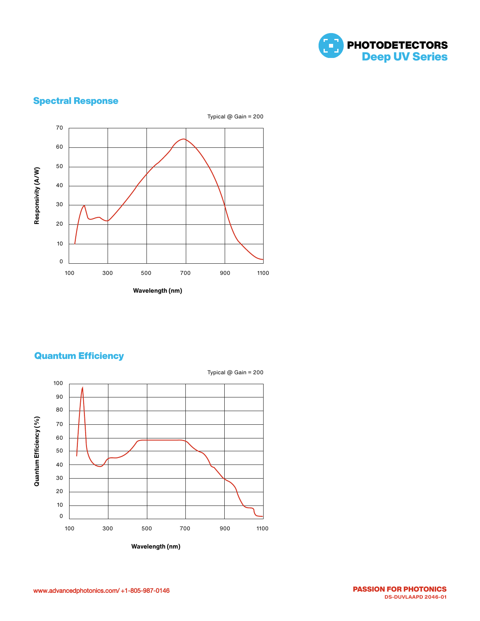

## Spectral Response



## Quantum Efficiency

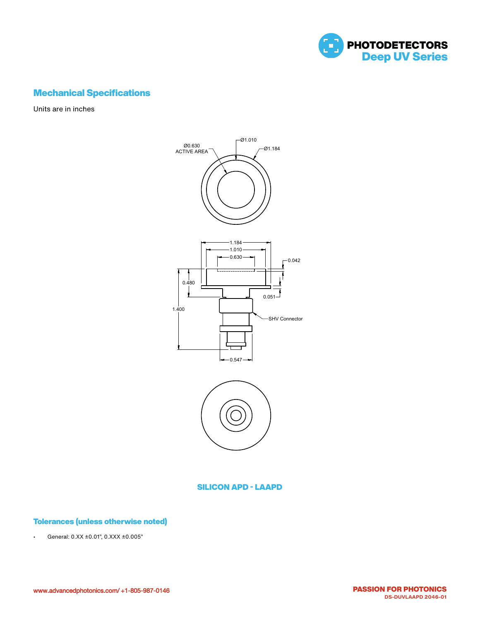

## Mechanical Specifications

Units are in inches





#### SILICON APD - LAAPD

#### Tolerances (unless otherwise noted)

• General: 0.XX ±0.01", 0.XXX ±0.005"